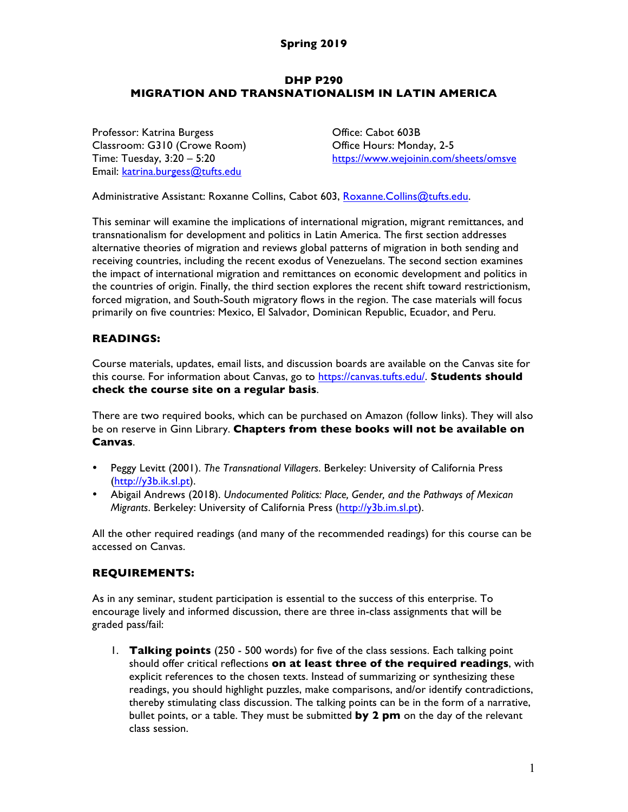### **DHP P290 MIGRATION AND TRANSNATIONALISM IN LATIN AMERICA**

Professor: Katrina Burgess Classroom: G310 (Crowe Room) Time: Tuesday, 3:20 – 5:20 Email: katrina.burgess@tufts.edu

Office: Cabot 603B Office Hours: Monday, 2-5 https://www.wejoinin.com/sheets/omsve

Administrative Assistant: Roxanne Collins, Cabot 603, Roxanne.Collins@tufts.edu.

This seminar will examine the implications of international migration, migrant remittances, and transnationalism for development and politics in Latin America. The first section addresses alternative theories of migration and reviews global patterns of migration in both sending and receiving countries, including the recent exodus of Venezuelans. The second section examines the impact of international migration and remittances on economic development and politics in the countries of origin. Finally, the third section explores the recent shift toward restrictionism, forced migration, and South-South migratory flows in the region. The case materials will focus primarily on five countries: Mexico, El Salvador, Dominican Republic, Ecuador, and Peru.

# **READINGS:**

Course materials, updates, email lists, and discussion boards are available on the Canvas site for this course. For information about Canvas, go to https://canvas.tufts.edu/. **Students should check the course site on a regular basis**.

There are two required books, which can be purchased on Amazon (follow links). They will also be on reserve in Ginn Library. **Chapters from these books will not be available on Canvas**.

- Peggy Levitt (2001). *The Transnational Villagers*. Berkeley: University of California Press (http://y3b.ik.sl.pt).
- Abigail Andrews (2018). *Undocumented Politics: Place, Gender, and the Pathways of Mexican Migrants*. Berkeley: University of California Press (http://y3b.im.sl.pt).

All the other required readings (and many of the recommended readings) for this course can be accessed on Canvas.

# **REQUIREMENTS:**

As in any seminar, student participation is essential to the success of this enterprise. To encourage lively and informed discussion, there are three in-class assignments that will be graded pass/fail:

1. **Talking points** (250 - 500 words) for five of the class sessions. Each talking point should offer critical reflections **on at least three of the required readings**, with explicit references to the chosen texts. Instead of summarizing or synthesizing these readings, you should highlight puzzles, make comparisons, and/or identify contradictions, thereby stimulating class discussion. The talking points can be in the form of a narrative, bullet points, or a table. They must be submitted **by 2 pm** on the day of the relevant class session.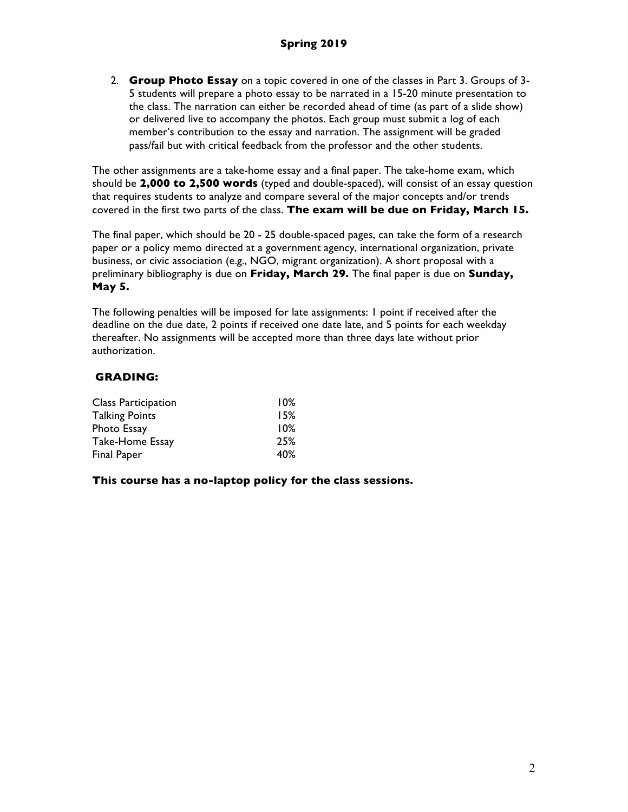2. **Group Photo Essay** on a topic covered in one of the classes in Part 3. Groups of 3- 5 students will prepare a photo essay to be narrated in a 15-20 minute presentation to the class. The narration can either be recorded ahead of time (as part of a slide show) or delivered live to accompany the photos. Each group must submit a log of each member's contribution to the essay and narration. The assignment will be graded pass/fail but with critical feedback from the professor and the other students.

The other assignments are a take-home essay and a final paper. The take-home exam, which should be **2,000 to 2,500 words** (typed and double-spaced), will consist of an essay question that requires students to analyze and compare several of the major concepts and/or trends covered in the first two parts of the class. **The exam will be due on Friday, March 15.**

The final paper, which should be 20 - 25 double-spaced pages, can take the form of a research paper or a policy memo directed at a government agency, international organization, private business, or civic association (e.g., NGO, migrant organization). A short proposal with a preliminary bibliography is due on **Friday, March 29.** The final paper is due on **Sunday, May 5.**

The following penalties will be imposed for late assignments: 1 point if received after the deadline on the due date, 2 points if received one date late, and 5 points for each weekday thereafter. No assignments will be accepted more than three days late without prior authorization.

# **GRADING:**

| Class Participation   | 10% |
|-----------------------|-----|
| <b>Talking Points</b> | 15% |
| Photo Essay           | 10% |
| Take-Home Essay       | 25% |
| Final Paper           | 40% |

### **This course has a no-laptop policy for the class sessions.**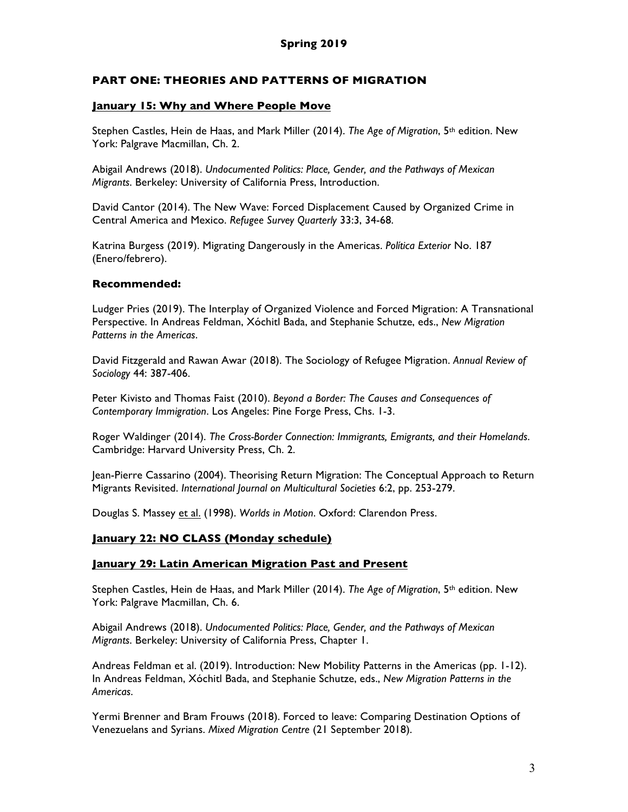# **PART ONE: THEORIES AND PATTERNS OF MIGRATION**

### **January 15: Why and Where People Move**

Stephen Castles, Hein de Haas, and Mark Miller (2014). *The Age of Migration*, 5th edition. New York: Palgrave Macmillan, Ch. 2.

Abigail Andrews (2018). *Undocumented Politics: Place, Gender, and the Pathways of Mexican Migrants*. Berkeley: University of California Press, Introduction.

David Cantor (2014). The New Wave: Forced Displacement Caused by Organized Crime in Central America and Mexico. *Refugee Survey Quarterly* 33:3, 34-68.

Katrina Burgess (2019). Migrating Dangerously in the Americas. *Política Exterior* No. 187 (Enero/febrero).

### **Recommended:**

Ludger Pries (2019). The Interplay of Organized Violence and Forced Migration: A Transnational Perspective. In Andreas Feldman, Xóchitl Bada, and Stephanie Schutze, eds., *New Migration Patterns in the Americas*.

David Fitzgerald and Rawan Awar (2018). The Sociology of Refugee Migration. *Annual Review of Sociology* 44: 387-406.

Peter Kivisto and Thomas Faist (2010). *Beyond a Border: The Causes and Consequences of Contemporary Immigration*. Los Angeles: Pine Forge Press, Chs. 1-3.

Roger Waldinger (2014). *The Cross-Border Connection: Immigrants, Emigrants, and their Homelands*. Cambridge: Harvard University Press, Ch. 2.

Jean-Pierre Cassarino (2004). Theorising Return Migration: The Conceptual Approach to Return Migrants Revisited. *International Journal on Multicultural Societies* 6:2, pp. 253-279.

Douglas S. Massey et al. (1998). *Worlds in Motion*. Oxford: Clarendon Press.

# **January 22: NO CLASS (Monday schedule)**

### **January 29: Latin American Migration Past and Present**

Stephen Castles, Hein de Haas, and Mark Miller (2014). *The Age of Migration*, 5<sup>th</sup> edition. New York: Palgrave Macmillan, Ch. 6.

Abigail Andrews (2018). *Undocumented Politics: Place, Gender, and the Pathways of Mexican Migrants*. Berkeley: University of California Press, Chapter 1.

Andreas Feldman et al. (2019). Introduction: New Mobility Patterns in the Americas (pp. 1-12). In Andreas Feldman, Xóchitl Bada, and Stephanie Schutze, eds., *New Migration Patterns in the Americas*.

Yermi Brenner and Bram Frouws (2018). Forced to leave: Comparing Destination Options of Venezuelans and Syrians. *Mixed Migration Centre* (21 September 2018).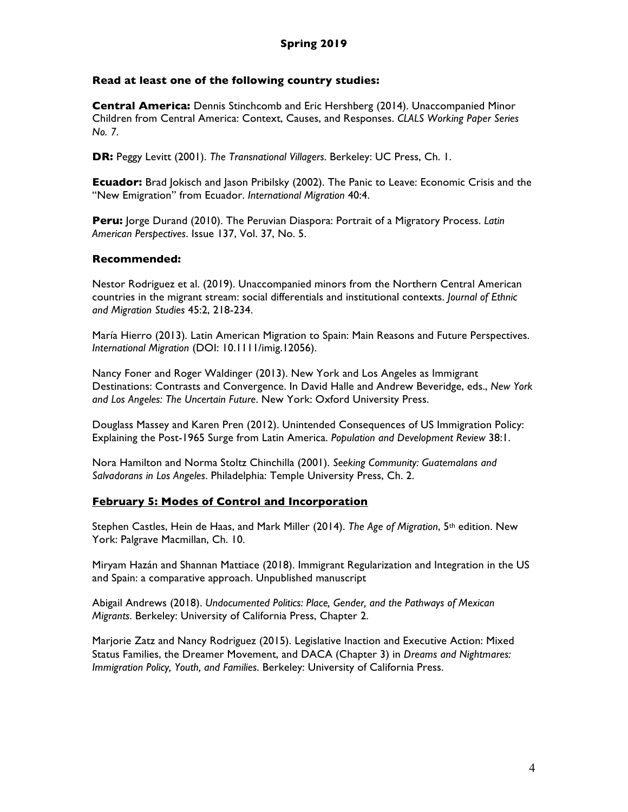### **Read at least one of the following country studies:**

**Central America:** Dennis Stinchcomb and Eric Hershberg (2014). Unaccompanied Minor Children from Central America: Context, Causes, and Responses. *CLALS Working Paper Series No. 7*.

**DR:** Peggy Levitt (2001). *The Transnational Villagers*. Berkeley: UC Press, Ch. 1.

**Ecuador:** Brad Jokisch and Jason Pribilsky (2002). The Panic to Leave: Economic Crisis and the "New Emigration" from Ecuador. *International Migration* 40:4.

**Peru:** Jorge Durand (2010). The Peruvian Diaspora: Portrait of a Migratory Process. *Latin American Perspectives*. Issue 137, Vol. 37, No. 5.

### **Recommended:**

Nestor Rodriguez et al. (2019). Unaccompanied minors from the Northern Central American countries in the migrant stream: social differentials and institutional contexts. *Journal of Ethnic and Migration Studies* 45:2, 218-234.

María Hierro (2013). Latin American Migration to Spain: Main Reasons and Future Perspectives. *International Migration* (DOI: 10.1111/imig.12056).

Nancy Foner and Roger Waldinger (2013). New York and Los Angeles as Immigrant Destinations: Contrasts and Convergence. In David Halle and Andrew Beveridge, eds., *New York and Los Angeles: The Uncertain Future*. New York: Oxford University Press.

Douglass Massey and Karen Pren (2012). Unintended Consequences of US Immigration Policy: Explaining the Post-1965 Surge from Latin America. *Population and Development Review* 38:1.

Nora Hamilton and Norma Stoltz Chinchilla (2001). *Seeking Community: Guatemalans and Salvadorans in Los Angeles*. Philadelphia: Temple University Press, Ch. 2.

# **February 5: Modes of Control and Incorporation**

Stephen Castles, Hein de Haas, and Mark Miller (2014). *The Age of Migration*, 5<sup>th</sup> edition. New York: Palgrave Macmillan, Ch. 10.

Miryam Hazán and Shannan Mattiace (2018). Immigrant Regularization and Integration in the US and Spain: a comparative approach. Unpublished manuscript

Abigail Andrews (2018). *Undocumented Politics: Place, Gender, and the Pathways of Mexican Migrants*. Berkeley: University of California Press, Chapter 2.

Marjorie Zatz and Nancy Rodriguez (2015). Legislative Inaction and Executive Action: Mixed Status Families, the Dreamer Movement, and DACA (Chapter 3) in *Dreams and Nightmares: Immigration Policy, Youth, and Families*. Berkeley: University of California Press.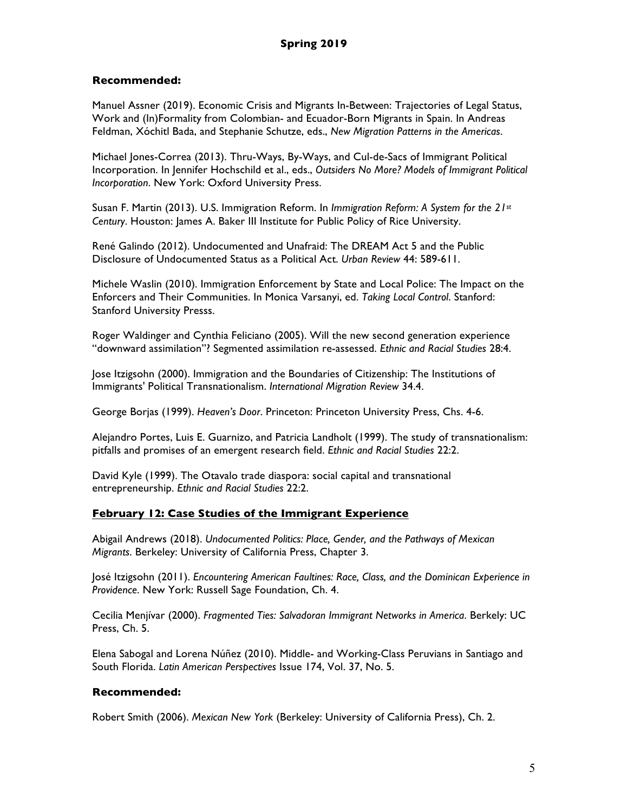# **Recommended:**

Manuel Assner (2019). Economic Crisis and Migrants In-Between: Trajectories of Legal Status, Work and (In)Formality from Colombian- and Ecuador-Born Migrants in Spain. In Andreas Feldman, Xóchitl Bada, and Stephanie Schutze, eds., *New Migration Patterns in the Americas*.

Michael Jones-Correa (2013). Thru-Ways, By-Ways, and Cul-de-Sacs of Immigrant Political Incorporation. In Jennifer Hochschild et al., eds., *Outsiders No More? Models of Immigrant Political Incorporation*. New York: Oxford University Press.

Susan F. Martin (2013). U.S. Immigration Reform. In *Immigration Reform: A System for the 21st Century*. Houston: James A. Baker III Institute for Public Policy of Rice University.

René Galindo (2012). Undocumented and Unafraid: The DREAM Act 5 and the Public Disclosure of Undocumented Status as a Political Act. *Urban Review* 44: 589-611.

Michele Waslin (2010). Immigration Enforcement by State and Local Police: The Impact on the Enforcers and Their Communities. In Monica Varsanyi, ed. *Taking Local Control*. Stanford: Stanford University Presss.

Roger Waldinger and Cynthia Feliciano (2005). Will the new second generation experience "downward assimilation"? Segmented assimilation re-assessed. *Ethnic and Racial Studies* 28:4.

Jose Itzigsohn (2000). Immigration and the Boundaries of Citizenship: The Institutions of Immigrants' Political Transnationalism. *International Migration Review* 34.4.

George Borjas (1999). *Heaven's Door*. Princeton: Princeton University Press, Chs. 4-6.

Alejandro Portes, Luis E. Guarnizo, and Patricia Landholt (1999). The study of transnationalism: pitfalls and promises of an emergent research field. *Ethnic and Racial Studies* 22:2.

David Kyle (1999). The Otavalo trade diaspora: social capital and transnational entrepreneurship. *Ethnic and Racial Studies* 22:2.

### **February 12: Case Studies of the Immigrant Experience**

Abigail Andrews (2018). *Undocumented Politics: Place, Gender, and the Pathways of Mexican Migrants*. Berkeley: University of California Press, Chapter 3.

José Itzigsohn (2011). *Encountering American Faultines: Race, Class, and the Dominican Experience in Providence*. New York: Russell Sage Foundation, Ch. 4.

Cecilia Menjívar (2000). *Fragmented Ties: Salvadoran Immigrant Networks in America*. Berkely: UC Press, Ch. 5.

Elena Sabogal and Lorena Núñez (2010). Middle- and Working-Class Peruvians in Santiago and South Florida. *Latin American Perspectives* Issue 174, Vol. 37, No. 5.

### **Recommended:**

Robert Smith (2006). *Mexican New York* (Berkeley: University of California Press), Ch. 2.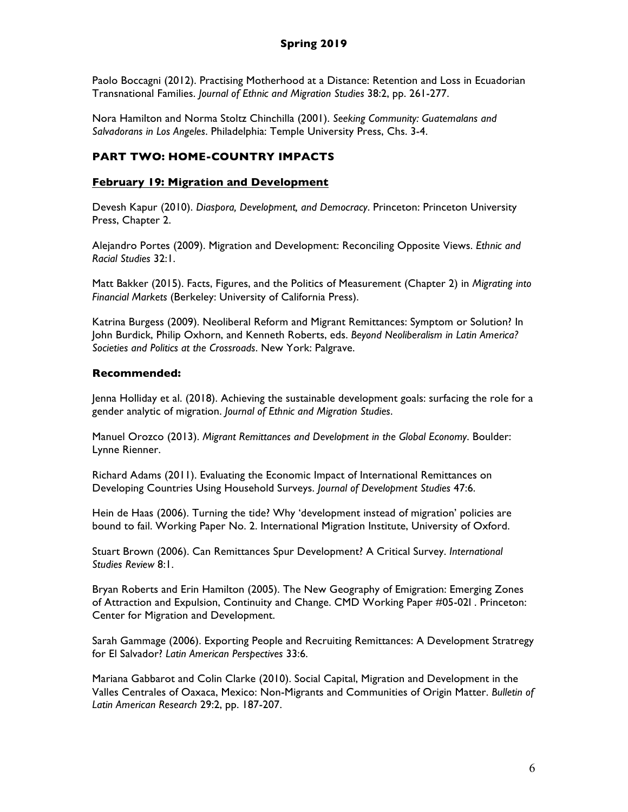Paolo Boccagni (2012). Practising Motherhood at a Distance: Retention and Loss in Ecuadorian Transnational Families. *Journal of Ethnic and Migration Studies* 38:2, pp. 261-277.

Nora Hamilton and Norma Stoltz Chinchilla (2001). *Seeking Community: Guatemalans and Salvadorans in Los Angeles*. Philadelphia: Temple University Press, Chs. 3-4.

# **PART TWO: HOME-COUNTRY IMPACTS**

# **February 19: Migration and Development**

Devesh Kapur (2010). *Diaspora, Development, and Democracy*. Princeton: Princeton University Press, Chapter 2.

Alejandro Portes (2009). Migration and Development: Reconciling Opposite Views. *Ethnic and Racial Studies* 32:1.

Matt Bakker (2015). Facts, Figures, and the Politics of Measurement (Chapter 2) in *Migrating into Financial Markets* (Berkeley: University of California Press).

Katrina Burgess (2009). Neoliberal Reform and Migrant Remittances: Symptom or Solution? In John Burdick, Philip Oxhorn, and Kenneth Roberts, eds. *Beyond Neoliberalism in Latin America? Societies and Politics at the Crossroads*. New York: Palgrave.

# **Recommended:**

Jenna Holliday et al. (2018). Achieving the sustainable development goals: surfacing the role for a gender analytic of migration. *Journal of Ethnic and Migration Studies*.

Manuel Orozco (2013). *Migrant Remittances and Development in the Global Economy*. Boulder: Lynne Rienner.

Richard Adams (2011). Evaluating the Economic Impact of International Remittances on Developing Countries Using Household Surveys. *Journal of Development Studies* 47:6.

Hein de Haas (2006). Turning the tide? Why 'development instead of migration' policies are bound to fail. Working Paper No. 2. International Migration Institute, University of Oxford.

Stuart Brown (2006). Can Remittances Spur Development? A Critical Survey. *International Studies Review* 8:1.

Bryan Roberts and Erin Hamilton (2005). The New Geography of Emigration: Emerging Zones of Attraction and Expulsion, Continuity and Change. CMD Working Paper #05-02l . Princeton: Center for Migration and Development.

Sarah Gammage (2006). Exporting People and Recruiting Remittances: A Development Stratregy for El Salvador? *Latin American Perspectives* 33:6.

Mariana Gabbarot and Colin Clarke (2010). Social Capital, Migration and Development in the Valles Centrales of Oaxaca, Mexico: Non-Migrants and Communities of Origin Matter. *Bulletin of Latin American Research* 29:2, pp. 187-207.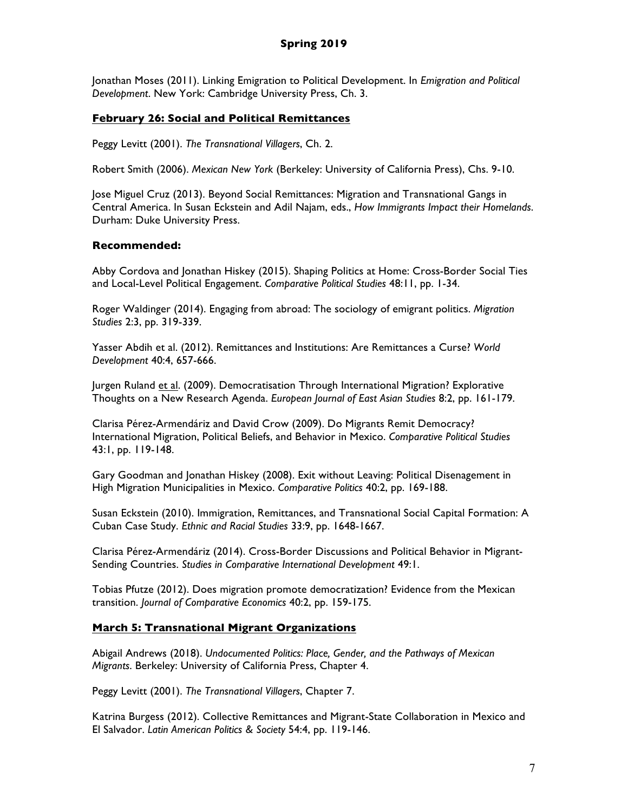Jonathan Moses (2011). Linking Emigration to Political Development. In *Emigration and Political Development*. New York: Cambridge University Press, Ch. 3.

### **February 26: Social and Political Remittances**

Peggy Levitt (2001). *The Transnational Villagers*, Ch. 2.

Robert Smith (2006). *Mexican New York* (Berkeley: University of California Press), Chs. 9-10.

Jose Miguel Cruz (2013). Beyond Social Remittances: Migration and Transnational Gangs in Central America. In Susan Eckstein and Adil Najam, eds., *How Immigrants Impact their Homelands*. Durham: Duke University Press.

### **Recommended:**

Abby Cordova and Jonathan Hiskey (2015). Shaping Politics at Home: Cross-Border Social Ties and Local-Level Political Engagement. *Comparative Political Studies* 48:11, pp. 1-34.

Roger Waldinger (2014). Engaging from abroad: The sociology of emigrant politics. *Migration Studies* 2:3, pp. 319-339.

Yasser Abdih et al. (2012). Remittances and Institutions: Are Remittances a Curse? *World Development* 40:4, 657-666.

Jurgen Ruland et al. (2009). Democratisation Through International Migration? Explorative Thoughts on a New Research Agenda. *European Journal of East Asian Studies* 8:2, pp. 161-179.

Clarisa Pérez-Armendáriz and David Crow (2009). Do Migrants Remit Democracy? International Migration, Political Beliefs, and Behavior in Mexico. *Comparative Political Studies* 43:1, pp. 119-148.

Gary Goodman and Jonathan Hiskey (2008). Exit without Leaving: Political Disenagement in High Migration Municipalities in Mexico. *Comparative Politics* 40:2, pp. 169-188.

Susan Eckstein (2010). Immigration, Remittances, and Transnational Social Capital Formation: A Cuban Case Study. *Ethnic and Racial Studies* 33:9, pp. 1648-1667.

Clarisa Pérez-Armendáriz (2014). Cross-Border Discussions and Political Behavior in Migrant-Sending Countries. *Studies in Comparative International Development* 49:1.

Tobias Pfutze (2012). Does migration promote democratization? Evidence from the Mexican transition. *Journal of Comparative Economics* 40:2, pp. 159-175.

### **March 5: Transnational Migrant Organizations**

Abigail Andrews (2018). *Undocumented Politics: Place, Gender, and the Pathways of Mexican Migrants*. Berkeley: University of California Press, Chapter 4.

Peggy Levitt (2001). *The Transnational Villagers*, Chapter 7.

Katrina Burgess (2012). Collective Remittances and Migrant-State Collaboration in Mexico and El Salvador. *Latin American Politics & Society* 54:4, pp. 119-146.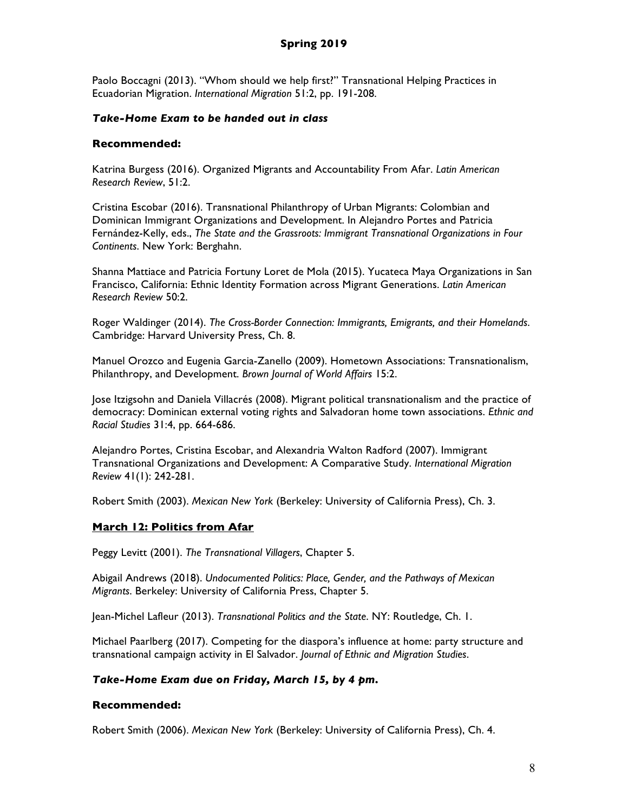Paolo Boccagni (2013). "Whom should we help first?" Transnational Helping Practices in Ecuadorian Migration. *International Migration* 51:2, pp. 191-208.

### *Take-Home Exam to be handed out in class*

### **Recommended:**

Katrina Burgess (2016). Organized Migrants and Accountability From Afar. *Latin American Research Review*, 51:2.

Cristina Escobar (2016). Transnational Philanthropy of Urban Migrants: Colombian and Dominican Immigrant Organizations and Development. In Alejandro Portes and Patricia Fernández-Kelly, eds., *The State and the Grassroots: Immigrant Transnational Organizations in Four Continents*. New York: Berghahn.

Shanna Mattiace and Patricia Fortuny Loret de Mola (2015). Yucateca Maya Organizations in San Francisco, California: Ethnic Identity Formation across Migrant Generations. *Latin American Research Review* 50:2.

Roger Waldinger (2014). *The Cross-Border Connection: Immigrants, Emigrants, and their Homelands*. Cambridge: Harvard University Press, Ch. 8.

Manuel Orozco and Eugenia Garcia-Zanello (2009). Hometown Associations: Transnationalism, Philanthropy, and Development. *Brown Journal of World Affairs* 15:2.

Jose Itzigsohn and Daniela Villacrés (2008). Migrant political transnationalism and the practice of democracy: Dominican external voting rights and Salvadoran home town associations. *Ethnic and Racial Studies* 31:4, pp. 664-686.

Alejandro Portes, Cristina Escobar, and Alexandria Walton Radford (2007). Immigrant Transnational Organizations and Development: A Comparative Study. *International Migration Review* 41(1): 242-281.

Robert Smith (2003). *Mexican New York* (Berkeley: University of California Press), Ch. 3.

# **March 12: Politics from Afar**

Peggy Levitt (2001). *The Transnational Villagers*, Chapter 5.

Abigail Andrews (2018). *Undocumented Politics: Place, Gender, and the Pathways of Mexican Migrants*. Berkeley: University of California Press, Chapter 5.

Jean-Michel Lafleur (2013). *Transnational Politics and the State*. NY: Routledge, Ch. 1.

Michael Paarlberg (2017). Competing for the diaspora's influence at home: party structure and transnational campaign activity in El Salvador. *Journal of Ethnic and Migration Studies*.

### *Take-Home Exam due on Friday, March 15, by 4 pm.*

### **Recommended:**

Robert Smith (2006). *Mexican New York* (Berkeley: University of California Press), Ch. 4.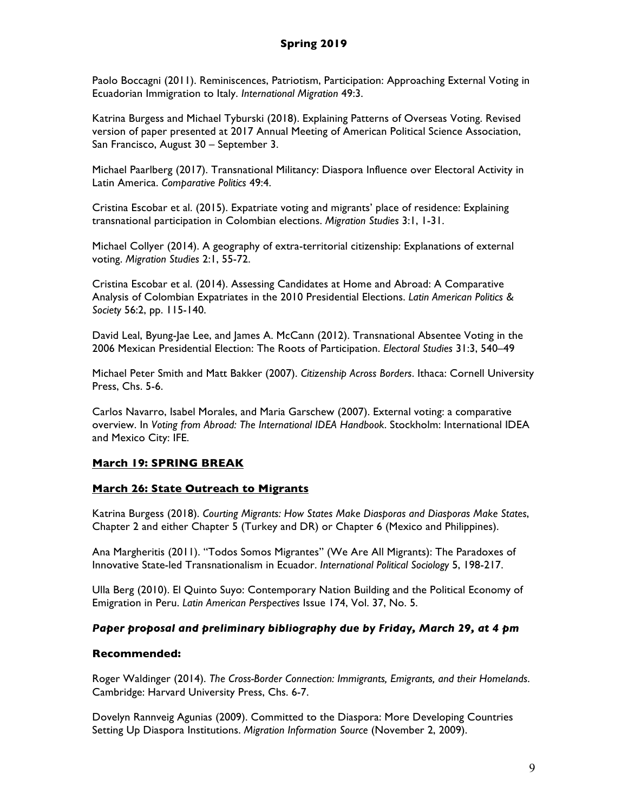Paolo Boccagni (2011). Reminiscences, Patriotism, Participation: Approaching External Voting in Ecuadorian Immigration to Italy. *International Migration* 49:3.

Katrina Burgess and Michael Tyburski (2018). Explaining Patterns of Overseas Voting. Revised version of paper presented at 2017 Annual Meeting of American Political Science Association, San Francisco, August 30 – September 3.

Michael Paarlberg (2017). Transnational Militancy: Diaspora Influence over Electoral Activity in Latin America. *Comparative Politics* 49:4.

Cristina Escobar et al. (2015). Expatriate voting and migrants' place of residence: Explaining transnational participation in Colombian elections. *Migration Studies* 3:1, 1-31.

Michael Collyer (2014). A geography of extra-territorial citizenship: Explanations of external voting. *Migration Studies* 2:1, 55-72.

Cristina Escobar et al. (2014). Assessing Candidates at Home and Abroad: A Comparative Analysis of Colombian Expatriates in the 2010 Presidential Elections. *Latin American Politics & Society* 56:2, pp. 115-140.

David Leal, Byung-Jae Lee, and James A. McCann (2012). Transnational Absentee Voting in the 2006 Mexican Presidential Election: The Roots of Participation. *Electoral Studies* 31:3, 540–49

Michael Peter Smith and Matt Bakker (2007). *Citizenship Across Borders*. Ithaca: Cornell University Press, Chs. 5-6.

Carlos Navarro, Isabel Morales, and Maria Garschew (2007). External voting: a comparative overview. In *Voting from Abroad: The International IDEA Handbook*. Stockholm: International IDEA and Mexico City: IFE.

# **March 19: SPRING BREAK**

### **March 26: State Outreach to Migrants**

Katrina Burgess (2018). *Courting Migrants: How States Make Diasporas and Diasporas Make States*, Chapter 2 and either Chapter 5 (Turkey and DR) or Chapter 6 (Mexico and Philippines).

Ana Margheritis (2011). "Todos Somos Migrantes" (We Are All Migrants): The Paradoxes of Innovative State-led Transnationalism in Ecuador. *International Political Sociology* 5, 198-217.

Ulla Berg (2010). El Quinto Suyo: Contemporary Nation Building and the Political Economy of Emigration in Peru. *Latin American Perspectives* Issue 174, Vol. 37, No. 5.

### *Paper proposal and preliminary bibliography due by Friday, March 29, at 4 pm*

#### **Recommended:**

Roger Waldinger (2014). *The Cross-Border Connection: Immigrants, Emigrants, and their Homelands*. Cambridge: Harvard University Press, Chs. 6-7.

Dovelyn Rannveig Agunias (2009). Committed to the Diaspora: More Developing Countries Setting Up Diaspora Institutions. *Migration Information Source* (November 2, 2009).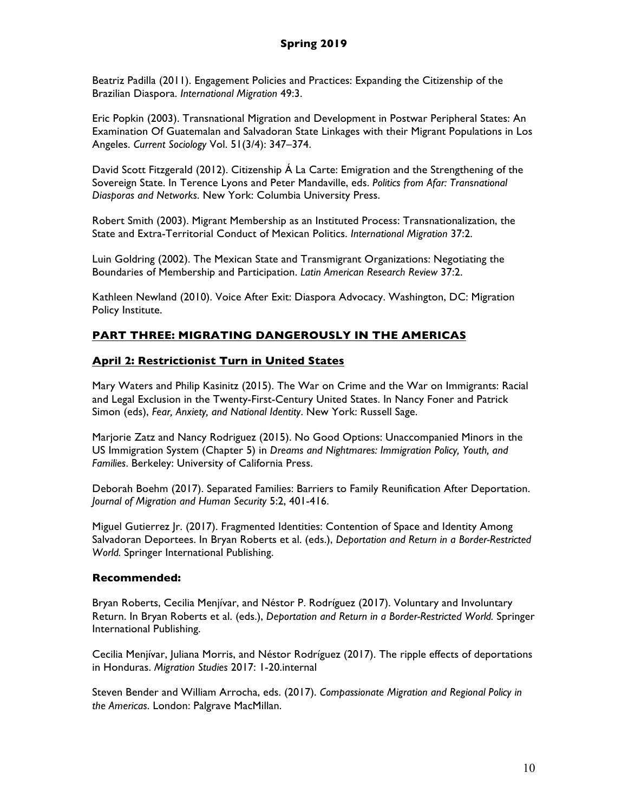Beatriz Padilla (2011). Engagement Policies and Practices: Expanding the Citizenship of the Brazilian Diaspora. *International Migration* 49:3.

Eric Popkin (2003). Transnational Migration and Development in Postwar Peripheral States: An Examination Of Guatemalan and Salvadoran State Linkages with their Migrant Populations in Los Angeles. *Current Sociology* Vol. 51(3/4): 347–374.

David Scott Fitzgerald (2012). Citizenship Á La Carte: Emigration and the Strengthening of the Sovereign State. In Terence Lyons and Peter Mandaville, eds. *Politics from Afar: Transnational Diasporas and Networks*. New York: Columbia University Press.

Robert Smith (2003). Migrant Membership as an Instituted Process: Transnationalization, the State and Extra-Territorial Conduct of Mexican Politics. *International Migration* 37:2.

Luin Goldring (2002). The Mexican State and Transmigrant Organizations: Negotiating the Boundaries of Membership and Participation. *Latin American Research Review* 37:2.

Kathleen Newland (2010). Voice After Exit: Diaspora Advocacy. Washington, DC: Migration Policy Institute.

# **PART THREE: MIGRATING DANGEROUSLY IN THE AMERICAS**

# **April 2: Restrictionist Turn in United States**

Mary Waters and Philip Kasinitz (2015). The War on Crime and the War on Immigrants: Racial and Legal Exclusion in the Twenty-First-Century United States. In Nancy Foner and Patrick Simon (eds), *Fear, Anxiety, and National Identity*. New York: Russell Sage.

Marjorie Zatz and Nancy Rodriguez (2015). No Good Options: Unaccompanied Minors in the US Immigration System (Chapter 5) in *Dreams and Nightmares: Immigration Policy, Youth, and Families*. Berkeley: University of California Press.

Deborah Boehm (2017). Separated Families: Barriers to Family Reunification After Deportation. *Journal of Migration and Human Security* 5:2, 401-416.

Miguel Gutierrez Jr. (2017). Fragmented Identities: Contention of Space and Identity Among Salvadoran Deportees. In Bryan Roberts et al. (eds.), *Deportation and Return in a Border-Restricted World.* Springer International Publishing.

# **Recommended:**

Bryan Roberts, Cecilia Menjívar, and Néstor P. Rodríguez (2017). Voluntary and Involuntary Return. In Bryan Roberts et al. (eds.), *Deportation and Return in a Border-Restricted World.* Springer International Publishing.

Cecilia Menjívar, Juliana Morris, and Néstor Rodríguez (2017). The ripple effects of deportations in Honduras. *Migration Studies* 2017: 1-20.internal

Steven Bender and William Arrocha, eds. (2017). *Compassionate Migration and Regional Policy in the Americas*. London: Palgrave MacMillan.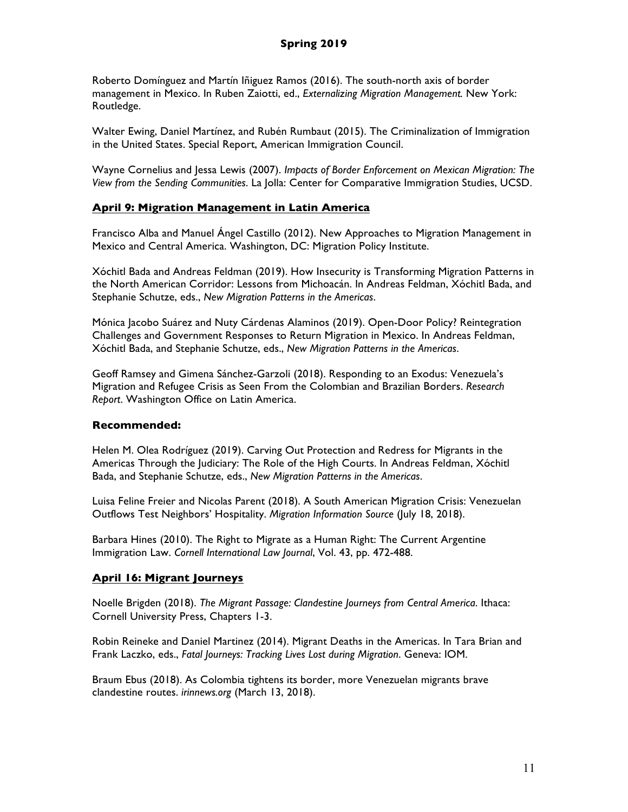Roberto Domínguez and Martín Iñiguez Ramos (2016). The south-north axis of border management in Mexico. In Ruben Zaiotti, ed., *Externalizing Migration Management.* New York: Routledge.

Walter Ewing, Daniel Martínez, and Rubén Rumbaut (2015). The Criminalization of Immigration in the United States. Special Report, American Immigration Council.

Wayne Cornelius and Jessa Lewis (2007). *Impacts of Border Enforcement on Mexican Migration: The View from the Sending Communities*. La Jolla: Center for Comparative Immigration Studies, UCSD.

### **April 9: Migration Management in Latin America**

Francisco Alba and Manuel Ángel Castillo (2012). New Approaches to Migration Management in Mexico and Central America. Washington, DC: Migration Policy Institute.

Xóchitl Bada and Andreas Feldman (2019). How Insecurity is Transforming Migration Patterns in the North American Corridor: Lessons from Michoacán. In Andreas Feldman, Xóchitl Bada, and Stephanie Schutze, eds., *New Migration Patterns in the Americas*.

Mónica Jacobo Suárez and Nuty Cárdenas Alaminos (2019). Open-Door Policy? Reintegration Challenges and Government Responses to Return Migration in Mexico. In Andreas Feldman, Xóchitl Bada, and Stephanie Schutze, eds., *New Migration Patterns in the Americas*.

Geoff Ramsey and Gimena Sánchez-Garzoli (2018). Responding to an Exodus: Venezuela's Migration and Refugee Crisis as Seen From the Colombian and Brazilian Borders. *Research Report*. Washington Office on Latin America.

### **Recommended:**

Helen M. Olea Rodríguez (2019). Carving Out Protection and Redress for Migrants in the Americas Through the Judiciary: The Role of the High Courts. In Andreas Feldman, Xóchitl Bada, and Stephanie Schutze, eds., *New Migration Patterns in the Americas*.

Luisa Feline Freier and Nicolas Parent (2018). A South American Migration Crisis: Venezuelan Outflows Test Neighbors' Hospitality. *Migration Information Source* (July 18, 2018).

Barbara Hines (2010). The Right to Migrate as a Human Right: The Current Argentine Immigration Law. *Cornell International Law Journal*, Vol. 43, pp. 472-488.

### **April 16: Migrant Journeys**

Noelle Brigden (2018). *The Migrant Passage: Clandestine Journeys from Central America*. Ithaca: Cornell University Press, Chapters 1-3.

Robin Reineke and Daniel Martinez (2014). Migrant Deaths in the Americas. In Tara Brian and Frank Laczko, eds., *Fatal Journeys: Tracking Lives Lost during Migration*. Geneva: IOM.

Braum Ebus (2018). As Colombia tightens its border, more Venezuelan migrants brave clandestine routes. *irinnews.org* (March 13, 2018).